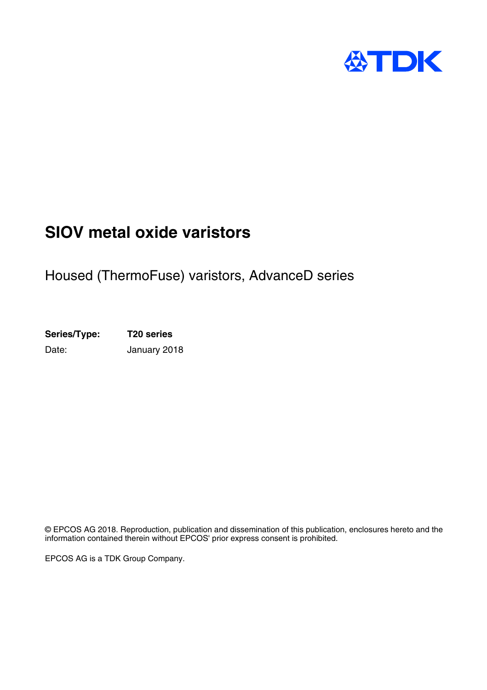

# **SIOV metal oxide varistors**

# Housed (ThermoFuse) varistors, AdvanceD series

**Series/Type: T20 series** Date: January 2018

© EPCOS AG 2018. Reproduction, publication and dissemination of this publication, enclosures hereto and the information contained therein without EPCOS' prior express consent is prohibited.

EPCOS AG is a TDK Group Company.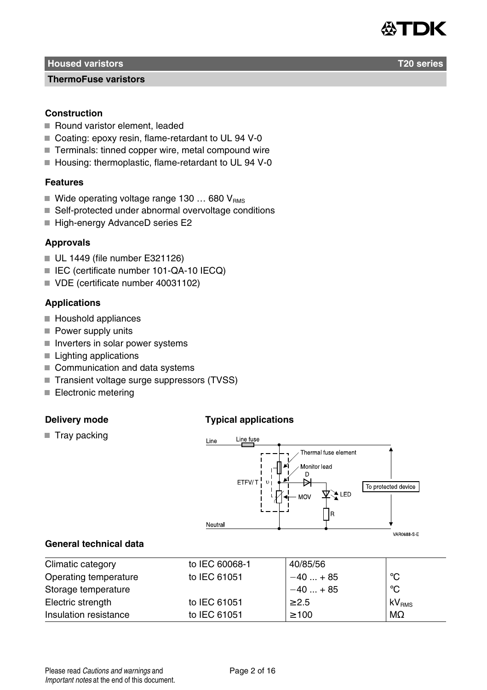

#### **ThermoFuse varistors**

## **Construction**

- Round varistor element, leaded
- Coating: epoxy resin, flame-retardant to UL 94 V-0
- Terminals: tinned copper wire, metal compound wire
- Housing: thermoplastic, flame-retardant to UL 94 V-0

## **Features**

- Wide operating voltage range 130 ... 680  $V_{\text{RMS}}$
- Self-protected under abnormal overvoltage conditions
- High-energy AdvanceD series E2

## **Approvals**

- UL 1449 (file number E321126)
- IEC (certificate number 101-QA-10 IECQ)
- VDE (certificate number 40031102)

## **Applications**

- Houshold appliances
- Power supply units
- $\blacksquare$  Inverters in solar power systems
- Lighting applications
- Communication and data systems
- Transient voltage surge suppressors (TVSS)
- Electronic metering

## **Delivery mode**

## **Typical applications**

 $\blacksquare$  Tray packing



## **General technical data**

| Climatic category     | to IEC 60068-1 | 40/85/56   |                   |
|-----------------------|----------------|------------|-------------------|
| Operating temperature | to IEC 61051   | $-40+85$   | °C                |
| Storage temperature   |                | $-40+85$   | °C                |
| Electric strength     | to IEC 61051   | $\geq$ 2.5 | kV <sub>RMS</sub> |
| Insulation resistance | to IEC 61051   | $\geq 100$ | $M\Omega$         |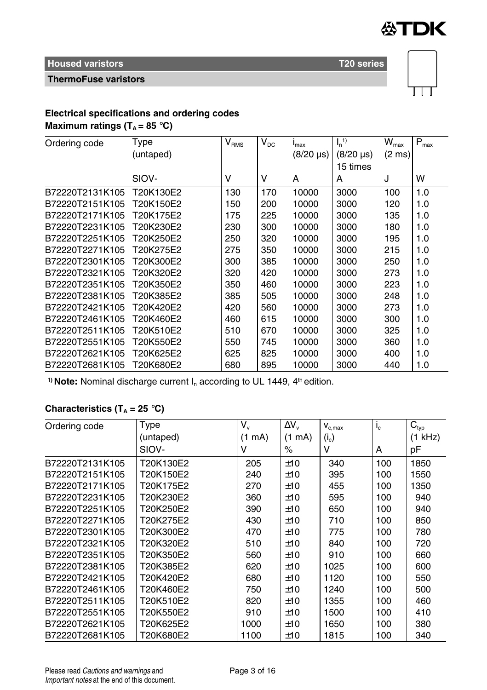

## **ThermoFuse varistors**



# **Electrical specifications and ordering codes**

**Maximum ratings (** $T_A = 85$  **°C)** 

| Ordering code   | Type      | $\rm V_{RMS}$ | $V_{DC}$ | $I_{\text{max}}$ | $I_n$ <sup>1)</sup> | $\overline{W}_{\text{max}}$ | $P_{\text{max}}$ |
|-----------------|-----------|---------------|----------|------------------|---------------------|-----------------------------|------------------|
|                 | (untaped) |               |          | $(8/20 \,\mu s)$ | $(8/20 \,\mu s)$    | $(2 \text{ ms})$            |                  |
|                 |           |               |          |                  | 15 times            |                             |                  |
|                 | SIOV-     | ν             | v        | A                | А                   | J                           | W                |
| B72220T2131K105 | T20K130E2 | 130           | 170      | 10000            | 3000                | 100                         | 1.0              |
| B72220T2151K105 | T20K150E2 | 150           | 200      | 10000            | 3000                | 120                         | 1.0              |
| B72220T2171K105 | T20K175E2 | 175           | 225      | 10000            | 3000                | 135                         | 1.0              |
| B72220T2231K105 | T20K230E2 | 230           | 300      | 10000            | 3000                | 180                         | 1.0              |
| B72220T2251K105 | T20K250E2 | 250           | 320      | 10000            | 3000                | 195                         | 1.0              |
| B72220T2271K105 | T20K275E2 | 275           | 350      | 10000            | 3000                | 215                         | 1.0              |
| B72220T2301K105 | T20K300E2 | 300           | 385      | 10000            | 3000                | 250                         | 1.0              |
| B72220T2321K105 | T20K320E2 | 320           | 420      | 10000            | 3000                | 273                         | 1.0              |
| B72220T2351K105 | T20K350E2 | 350           | 460      | 10000            | 3000                | 223                         | 1.0              |
| B72220T2381K105 | T20K385E2 | 385           | 505      | 10000            | 3000                | 248                         | 1.0              |
| B72220T2421K105 | T20K420E2 | 420           | 560      | 10000            | 3000                | 273                         | 1.0              |
| B72220T2461K105 | T20K460E2 | 460           | 615      | 10000            | 3000                | 300                         | 1.0              |
| B72220T2511K105 | T20K510E2 | 510           | 670      | 10000            | 3000                | 325                         | 1.0              |
| B72220T2551K105 | T20K550E2 | 550           | 745      | 10000            | 3000                | 360                         | 1.0              |
| B72220T2621K105 | T20K625E2 | 625           | 825      | 10000            | 3000                | 400                         | 1.0              |
| B72220T2681K105 | T20K680E2 | 680           | 895      | 10000            | 3000                | 440                         | 1.0              |

<sup>1)</sup> Note: Nominal discharge current I<sub>n</sub> according to UL 1449, 4<sup>th</sup> edition.

## **Characteristics (T<sup>A</sup> = 25** °**C)**

| Ordering code   | Type      | $V_{\nu}$ | $\Delta V_{\rm v}$ | $V_{c,max}$ | $I_{\rm c}$ | $C_{typ}$ |
|-----------------|-----------|-----------|--------------------|-------------|-------------|-----------|
|                 | (untaped) | (1<br>mA) | (1)<br>mA)         | $(i_c)$     |             | (1 kHz)   |
|                 | SIOV-     | v         | %                  | ٧           | A           | рF        |
| B72220T2131K105 | T20K130E2 | 205       | ±10                | 340         | 100         | 1850      |
| B72220T2151K105 | T20K150E2 | 240       | ±10                | 395         | 100         | 1550      |
| B72220T2171K105 | T20K175E2 | 270       | ±10                | 455         | 100         | 1350      |
| B72220T2231K105 | T20K230E2 | 360       | ±10                | 595         | 100         | 940       |
| B72220T2251K105 | T20K250E2 | 390       | ±10                | 650         | 100         | 940       |
| B72220T2271K105 | T20K275E2 | 430       | ±10                | 710         | 100         | 850       |
| B72220T2301K105 | T20K300E2 | 470       | ±10                | 775         | 100         | 780       |
| B72220T2321K105 | T20K320E2 | 510       | ±10                | 840         | 100         | 720       |
| B72220T2351K105 | T20K350E2 | 560       | ±10                | 910         | 100         | 660       |
| B72220T2381K105 | T20K385E2 | 620       | ±10                | 1025        | 100         | 600       |
| B72220T2421K105 | T20K420F2 | 680       | ±10                | 1120        | 100         | 550       |
| B72220T2461K105 | T20K460E2 | 750       | ±10                | 1240        | 100         | 500       |
| B72220T2511K105 | T20K510E2 | 820       | ±10                | 1355        | 100         | 460       |
| B72220T2551K105 | T20K550E2 | 910       | ±10                | 1500        | 100         | 410       |
| B72220T2621K105 | T20K625E2 | 1000      | ±10                | 1650        | 100         | 380       |
| B72220T2681K105 | T20K680E2 | 1100      | ±10                | 1815        | 100         | 340       |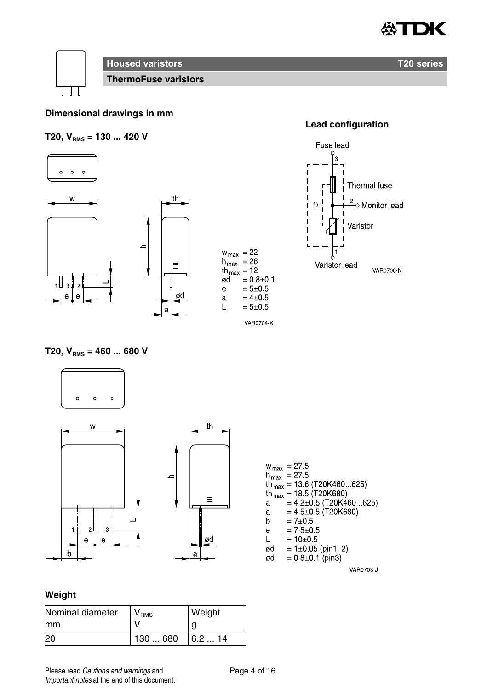



**ThermoFuse varistors**

## **Dimensional drawings in mm**

## **T20, VRMS = 130 ... 420 V**





## **Lead configuration**



## $T20, V_{RMS} = 460 ... 680 V$



th

 $\Box$ 

ød

|    | $w_{\text{max}} = 27.5$                |
|----|----------------------------------------|
|    | $n_{max}$ = 27.5                       |
|    | th <sub>max</sub> = 13.6 (T20K460 625) |
|    | th <sub>max</sub> = 18.5 (T20K680)     |
| a  | $= 42 \pm 0.5$ (T20K460 625)           |
| a  | $= 45 \pm 0.5$ (T20K680)               |
| b  | $= 7 \pm 0.5$                          |
| e  | $= 7.5 \pm 0.5$                        |
| L  | $=10+0.5$                              |
| ød | $= 1\pm 0.05$ (pin1, 2)                |
| ød | $= 0.8 \pm 0.1$ (pin3)                 |
|    |                                        |

#### VAR0703 J

## **Weight**

| Nominal diameter | V <sub>RMS</sub> | Weight |
|------------------|------------------|--------|
| mm               |                  | g      |
| 20               | 130  680         | 6.214  |

Please read Cautions and warnings and Page 4 of 16 Important notes at the end of this document.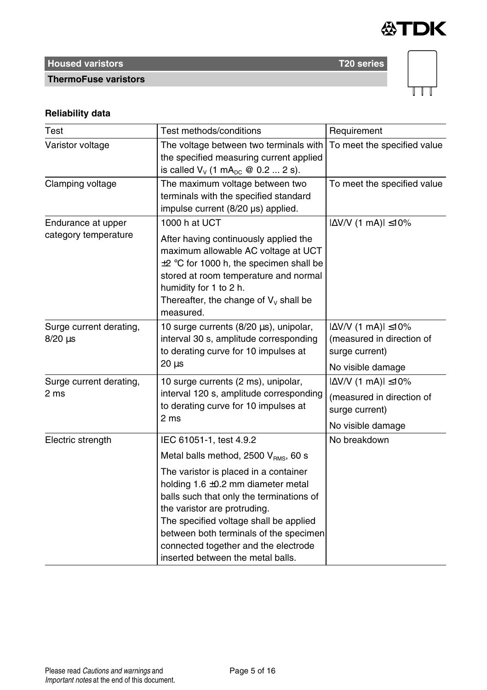



# **ThermoFuse varistors**

## **Reliability data**

| Test                                       | Test methods/conditions                                                                                                                                                                                                                                                                                                                                                                                      | Requirement                                                                                           |
|--------------------------------------------|--------------------------------------------------------------------------------------------------------------------------------------------------------------------------------------------------------------------------------------------------------------------------------------------------------------------------------------------------------------------------------------------------------------|-------------------------------------------------------------------------------------------------------|
| Varistor voltage                           | The voltage between two terminals with<br>the specified measuring current applied<br>is called $V_v$ (1 mA <sub>pc</sub> @ 0.2  2 s).                                                                                                                                                                                                                                                                        | To meet the specified value                                                                           |
| Clamping voltage                           | The maximum voltage between two<br>terminals with the specified standard<br>impulse current (8/20 µs) applied.                                                                                                                                                                                                                                                                                               | To meet the specified value                                                                           |
| Endurance at upper<br>category temperature | 1000 h at UCT<br>After having continuously applied the<br>maximum allowable AC voltage at UCT<br>$\pm 2$ °C for 1000 h, the specimen shall be<br>stored at room temperature and normal<br>humidity for 1 to 2 h.<br>Thereafter, the change of $V_v$ shall be<br>measured.                                                                                                                                    | $ \Delta$ V/V (1 mA) $ \leq$ 10%                                                                      |
| Surge current derating,<br>$8/20 \,\mu s$  | 10 surge currents (8/20 µs), unipolar,<br>interval 30 s, amplitude corresponding<br>to derating curve for 10 impulses at<br>$20 \mu s$                                                                                                                                                                                                                                                                       | $ \Delta V/V$ (1 mA) $ \leq 10\%$<br>(measured in direction of<br>surge current)<br>No visible damage |
| Surge current derating,<br>2 ms            | 10 surge currents (2 ms), unipolar,<br>interval 120 s, amplitude corresponding<br>to derating curve for 10 impulses at<br>2 <sub>ms</sub>                                                                                                                                                                                                                                                                    | $ \Delta$ V/V (1 mA) $ \leq$ 10%<br>(measured in direction of<br>surge current)<br>No visible damage  |
| Electric strength                          | IEC 61051-1, test 4.9.2<br>Metal balls method, 2500 $V_{\text{RMS}}$ , 60 s<br>The varistor is placed in a container<br>holding $1.6 \pm 0.2$ mm diameter metal<br>balls such that only the terminations of<br>the varistor are protruding.<br>The specified voltage shall be applied<br>between both terminals of the specimen<br>connected together and the electrode<br>inserted between the metal balls. | No breakdown                                                                                          |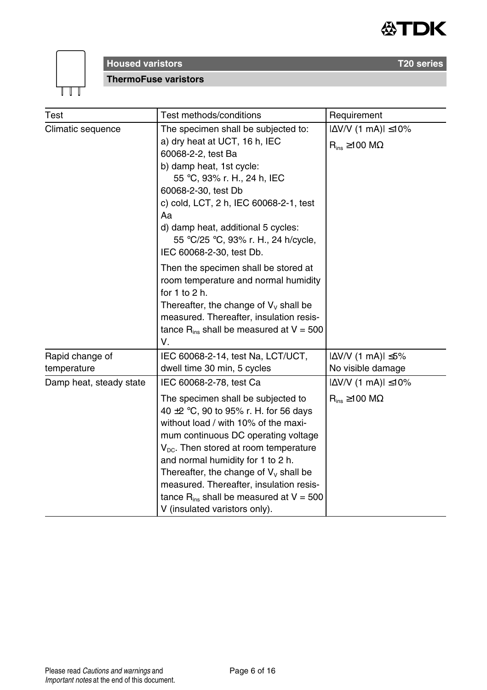



**ThermoFuse varistors**

| Test                    | Test methods/conditions                                                                                                                                                                                                                                                                                                                                                                                                                                        | Requirement                                                      |  |
|-------------------------|----------------------------------------------------------------------------------------------------------------------------------------------------------------------------------------------------------------------------------------------------------------------------------------------------------------------------------------------------------------------------------------------------------------------------------------------------------------|------------------------------------------------------------------|--|
| Climatic sequence       | The specimen shall be subjected to:<br>a) dry heat at UCT, 16 h, IEC<br>60068-2-2, test Ba<br>b) damp heat, 1st cycle:<br>55 °C, 93% r. H., 24 h, IEC<br>60068-2-30, test Db<br>c) cold, LCT, 2 h, IEC 60068-2-1, test<br>Aa<br>d) damp heat, additional 5 cycles:<br>55 °C/25 °C, 93% r. H., 24 h/cycle,<br>IEC 60068-2-30, test Db.                                                                                                                          | $ \Delta$ V/V (1 mA) $ \leq$ 10%<br>$R_{ins} \ge 100$ M $\Omega$ |  |
|                         | Then the specimen shall be stored at<br>room temperature and normal humidity<br>for $1$ to $2$ h.<br>Thereafter, the change of $V_v$ shall be<br>measured. Thereafter, insulation resis-<br>tance $R_{ins}$ shall be measured at $V = 500$<br>V.                                                                                                                                                                                                               |                                                                  |  |
| Rapid change of         | IEC 60068-2-14, test Na, LCT/UCT,                                                                                                                                                                                                                                                                                                                                                                                                                              | $ \Delta V/V$ (1 mA) $ \leq 5\%$                                 |  |
| temperature             | dwell time 30 min, 5 cycles                                                                                                                                                                                                                                                                                                                                                                                                                                    | No visible damage                                                |  |
| Damp heat, steady state | IEC 60068-2-78, test Ca<br>The specimen shall be subjected to<br>40 $\pm$ 2 °C, 90 to 95% r. H. for 56 days<br>without load / with 10% of the maxi-<br>mum continuous DC operating voltage<br>$V_{\text{DC}}$ . Then stored at room temperature<br>and normal humidity for 1 to 2 h.<br>Thereafter, the change of $V_v$ shall be<br>measured. Thereafter, insulation resis-<br>tance $R_{ins}$ shall be measured at $V = 500$<br>V (insulated varistors only). | $ \Delta V/V $ (1 mA) $ \leq 10\%$<br>$R_{ins} \ge 100 M\Omega$  |  |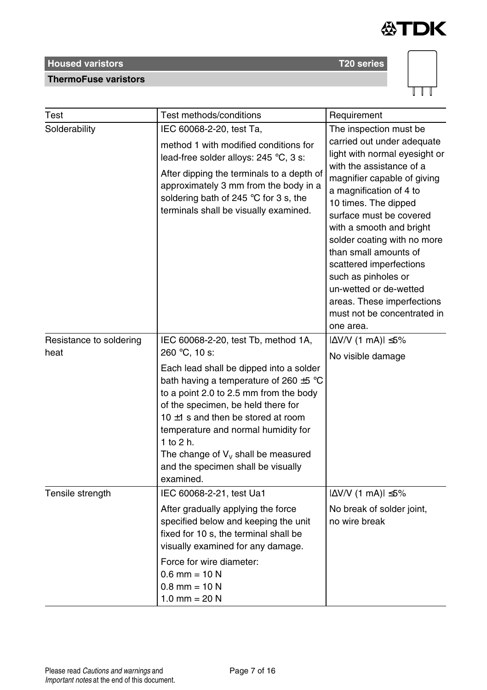

## **ThermoFuse varistors**



| Test                    | Test methods/conditions                                                                                                                                                                                                                                                                                                                                           | Requirement                                                                                                                                                                                                                                                                                                                                                                                                                                    |
|-------------------------|-------------------------------------------------------------------------------------------------------------------------------------------------------------------------------------------------------------------------------------------------------------------------------------------------------------------------------------------------------------------|------------------------------------------------------------------------------------------------------------------------------------------------------------------------------------------------------------------------------------------------------------------------------------------------------------------------------------------------------------------------------------------------------------------------------------------------|
| Solderability           | IEC 60068-2-20, test Ta,                                                                                                                                                                                                                                                                                                                                          | The inspection must be                                                                                                                                                                                                                                                                                                                                                                                                                         |
|                         | method 1 with modified conditions for<br>lead-free solder alloys: 245 °C, 3 s:<br>After dipping the terminals to a depth of<br>approximately 3 mm from the body in a<br>soldering bath of 245 °C for 3 s, the<br>terminals shall be visually examined.                                                                                                            | carried out under adequate<br>light with normal eyesight or<br>with the assistance of a<br>magnifier capable of giving<br>a magnification of 4 to<br>10 times. The dipped<br>surface must be covered<br>with a smooth and bright<br>solder coating with no more<br>than small amounts of<br>scattered imperfections<br>such as pinholes or<br>un-wetted or de-wetted<br>areas. These imperfections<br>must not be concentrated in<br>one area. |
| Resistance to soldering | IEC 60068-2-20, test Tb, method 1A,                                                                                                                                                                                                                                                                                                                               | $ \Delta V/V$ (1 mA) $ \leq 5\%$                                                                                                                                                                                                                                                                                                                                                                                                               |
| heat                    | 260 °C, 10 s:                                                                                                                                                                                                                                                                                                                                                     | No visible damage                                                                                                                                                                                                                                                                                                                                                                                                                              |
|                         | Each lead shall be dipped into a solder<br>bath having a temperature of 260 $\pm$ 5 °C<br>to a point 2.0 to 2.5 mm from the body<br>of the specimen, be held there for<br>10 $\pm$ 1 s and then be stored at room<br>temperature and normal humidity for<br>1 to 2 h.<br>The change of $V_v$ shall be measured<br>and the specimen shall be visually<br>examined. |                                                                                                                                                                                                                                                                                                                                                                                                                                                |
| Tensile strength        | IEC 60068-2-21, test Ua1                                                                                                                                                                                                                                                                                                                                          | $ \Delta$ V/V (1 mA) $ \leq$ 5%                                                                                                                                                                                                                                                                                                                                                                                                                |
|                         | After gradually applying the force<br>specified below and keeping the unit<br>fixed for 10 s, the terminal shall be<br>visually examined for any damage.                                                                                                                                                                                                          | No break of solder joint,<br>no wire break                                                                                                                                                                                                                                                                                                                                                                                                     |
|                         | Force for wire diameter:<br>$0.6$ mm = 10 N<br>$0.8$ mm = 10 N<br>1.0 mm = $20 N$                                                                                                                                                                                                                                                                                 |                                                                                                                                                                                                                                                                                                                                                                                                                                                |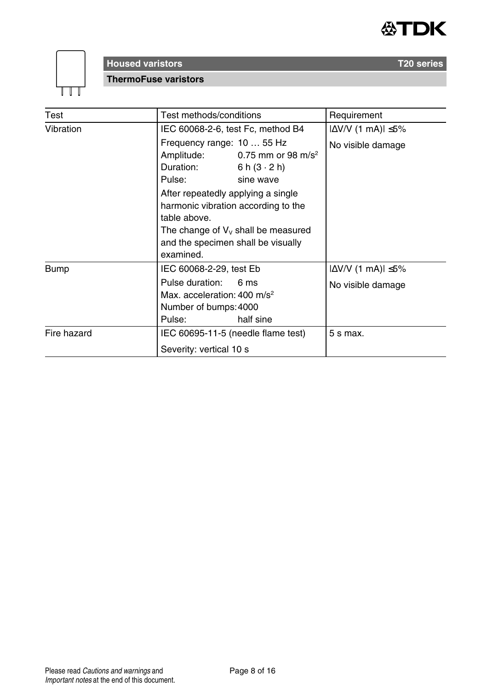



## **Housed varistors T20 series ThermoFuse varistors**

Test **Test methods/conditions** Requirement Vibration IEC 60068-2-6, test Fc, method B4  $|\Delta V/V|$  (1 mA) $|\leq 5\%$ Frequency range: 10 ... 55 Hz No visible damage Amplitude: Duration: Pulse: 0.75 mm or 98 m/s<sup>2</sup> 6 h  $(3 \cdot 2 h)$ sine wave After repeatedly applying a single harmonic vibration according to the table above. The change of  $V_v$  shall be measured and the specimen shall be visually examined. Bump  $\left| \begin{array}{cc} \vert E C \, 60068 - 2 - 29, \text{ test } E \end{array} \right|$   $\left| \Delta V/V \, (1 \, \text{mA}) \right| \leq 5\%$ Pulse duration: 6 ms <br>
No visible damage Max. acceleration: 400 m/s<sup>2</sup> Number of bumps: 4000 Pulse: 6 ms half sine Fire hazard **IEC 60695-11-5** (needle flame test) Severity: vertical 10 s  $5 s$  max.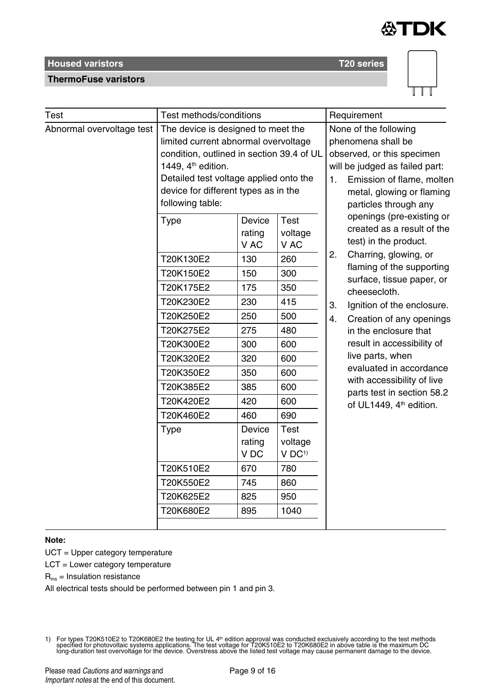



| Test                      | Test methods/conditions                                                                                                                                                                                                                                         |                                                                                                                                                                   |                                                                                                                                                                      | Requirement                                                                                                                                            |                                                                                                                                                                                                                                                                                                                                                                                                                                                        |  |
|---------------------------|-----------------------------------------------------------------------------------------------------------------------------------------------------------------------------------------------------------------------------------------------------------------|-------------------------------------------------------------------------------------------------------------------------------------------------------------------|----------------------------------------------------------------------------------------------------------------------------------------------------------------------|--------------------------------------------------------------------------------------------------------------------------------------------------------|--------------------------------------------------------------------------------------------------------------------------------------------------------------------------------------------------------------------------------------------------------------------------------------------------------------------------------------------------------------------------------------------------------------------------------------------------------|--|
| Abnormal overvoltage test | The device is designed to meet the<br>limited current abnormal overvoltage<br>condition, outlined in section 39.4 of UL<br>1449, 4 <sup>th</sup> edition.<br>Detailed test voltage applied onto the<br>device for different types as in the<br>following table: |                                                                                                                                                                   |                                                                                                                                                                      | None of the following<br>phenomena shall be<br>observed, or this specimen<br>will be judged as failed part:<br>$\mathbf{1}$ .<br>particles through any | Emission of flame, molten<br>metal, glowing or flaming                                                                                                                                                                                                                                                                                                                                                                                                 |  |
|                           | Type<br>T20K130E2<br>T20K150E2<br>T20K175E2<br>T20K230E2<br>T20K250E2<br>T20K275E2<br>T20K300E2<br>T20K320E2<br>T20K350E2<br>T20K385E2<br>T20K420E2<br>T20K460E2<br>Type<br>T20K510E2<br>T20K550E2                                                              | Device<br>rating<br>V AC<br>130<br>150<br>175<br>230<br>250<br>275<br>300<br>320<br>350<br>385<br>420<br>460<br>Device<br>rating<br>V <sub>DC</sub><br>670<br>745 | Test<br>voltage<br>V AC<br>260<br>300<br>350<br>415<br>500<br>480<br>600<br>600<br>600<br>600<br>600<br>690<br>Test<br>voltage<br>$V$ DC <sup>1)</sup><br>780<br>860 | 2.<br>3.<br>4.                                                                                                                                         | openings (pre-existing or<br>created as a result of the<br>test) in the product.<br>Charring, glowing, or<br>flaming of the supporting<br>surface, tissue paper, or<br>cheesecloth.<br>Ignition of the enclosure.<br>Creation of any openings<br>in the enclosure that<br>result in accessibility of<br>live parts, when<br>evaluated in accordance<br>with accessibility of live<br>parts test in section 58.2<br>of UL1449, 4 <sup>th</sup> edition. |  |
|                           | T20K625E2                                                                                                                                                                                                                                                       | 825                                                                                                                                                               | 950                                                                                                                                                                  |                                                                                                                                                        |                                                                                                                                                                                                                                                                                                                                                                                                                                                        |  |
|                           | T20K680E2                                                                                                                                                                                                                                                       | 895                                                                                                                                                               | 1040                                                                                                                                                                 |                                                                                                                                                        |                                                                                                                                                                                                                                                                                                                                                                                                                                                        |  |

#### **Note:**

UCT = Upper category temperature

LCT = Lower category temperature

 $R_{ins}$  = Insulation resistance

**ThermoFuse varistors**

All electrical tests should be performed between pin 1 and pin 3.

For types T20K510E2 to T20K680E2 the testing for UL 4™ edition approval was conducted exclusively according to the test methods<br>specified for photovoltaic systems applications. The test voltage for T20K510E2 to T20K680E2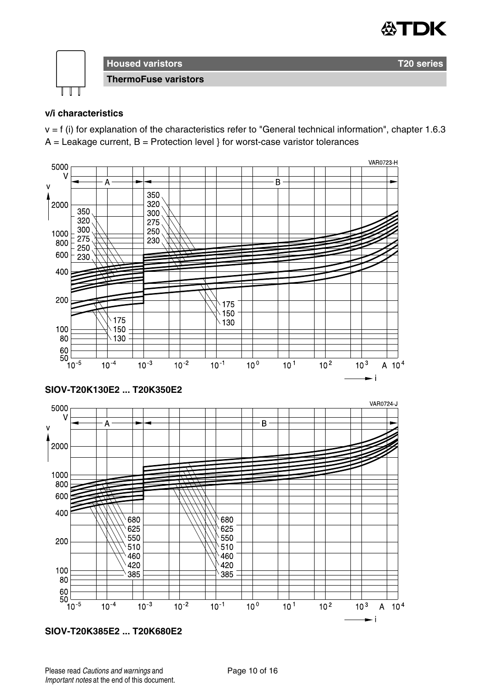



## **v/i characteristics**

v = f (i) for explanation of the characteristics refer to "General technical information", chapter 1.6.3  $A =$  Leakage current,  $B =$  Protection level } for worst-case varistor tolerances



**SIOV-T20K385E2 ... T20K680E2**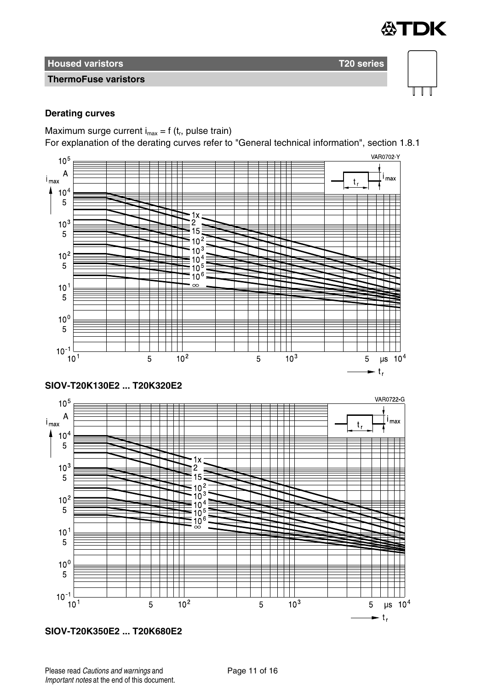

## **ThermoFuse varistors**

## **Derating curves**

Maximum surge current  $i_{max} = f(t_r)$ , pulse train)

For explanation of the derating curves refer to "General technical information", section 1.8.1



**SIOV-T20K350E2 ... T20K680E2**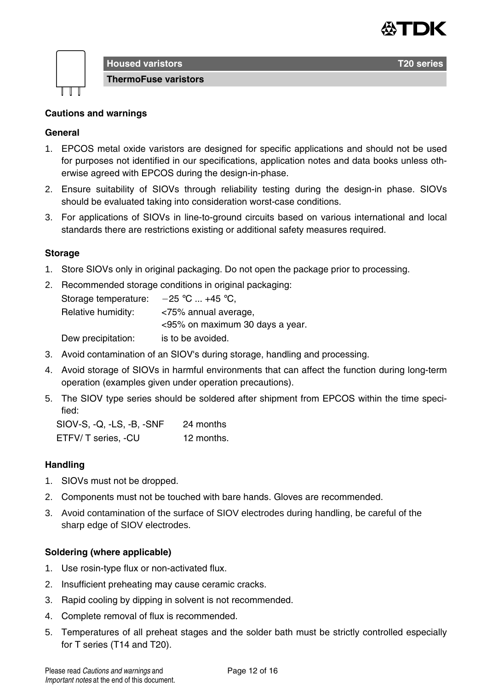



**Housed varistors T20 series ThermoFuse varistors**

## **Cautions and warnings**

## **General**

- 1. EPCOS metal oxide varistors are designed for specific applications and should not be used for purposes not identified in our specifications, application notes and data books unless otherwise agreed with EPCOS during the design-in-phase.
- 2. Ensure suitability of SIOVs through reliability testing during the design-in phase. SIOVs should be evaluated taking into consideration worst-case conditions.
- 3. For applications of SIOVs in line-to-ground circuits based on various international and local standards there are restrictions existing or additional safety measures required.

## **Storage**

- 1. Store SIOVs only in original packaging. Do not open the package prior to processing.
- 2. Recommended storage conditions in original packaging: Storage temperature:  $-25$  °C ... +45 °C, Relative humidity: <75% annual average, <95% on maximum 30 days a year. Dew precipitation: is to be avoided.
- 3. Avoid contamination of an SIOV's during storage, handling and processing.
- 4. Avoid storage of SIOVs in harmful environments that can affect the function during long-term operation (examples given under operation precautions).
- 5. The SIOV type series should be soldered after shipment from EPCOS within the time specified:

SIOV-S, -Q, -LS, -B, -SNF 24 months ETFV/ T series, -CU 12 months.

#### **Handling**

- 1. SIOVs must not be dropped.
- 2. Components must not be touched with bare hands. Gloves are recommended.
- 3. Avoid contamination of the surface of SIOV electrodes during handling, be careful of the sharp edge of SIOV electrodes.

#### **Soldering (where applicable)**

- 1. Use rosin-type flux or non-activated flux.
- 2. Insufficient preheating may cause ceramic cracks.
- 3. Rapid cooling by dipping in solvent is not recommended.
- 4. Complete removal of flux is recommended.
- 5. Temperatures of all preheat stages and the solder bath must be strictly controlled especially for T series (T14 and T20).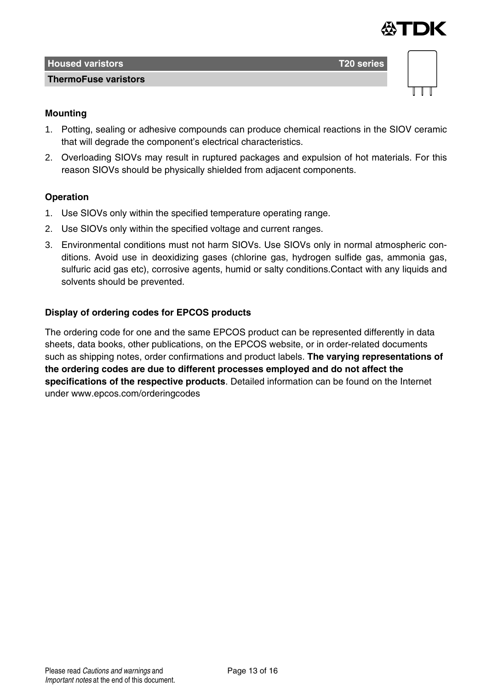

| <b>Housed varistors</b>     | T <sub>20</sub> series |  |
|-----------------------------|------------------------|--|
| <b>ThermoFuse varistors</b> |                        |  |
|                             |                        |  |

## **Mounting**

- 1. Potting, sealing or adhesive compounds can produce chemical reactions in the SIOV ceramic that will degrade the component's electrical characteristics.
- 2. Overloading SIOVs may result in ruptured packages and expulsion of hot materials. For this reason SIOVs should be physically shielded from adjacent components.

## **Operation**

- 1. Use SIOVs only within the specified temperature operating range.
- 2. Use SIOVs only within the specified voltage and current ranges.
- 3. Environmental conditions must not harm SIOVs. Use SIOVs only in normal atmospheric conditions. Avoid use in deoxidizing gases (chlorine gas, hydrogen sulfide gas, ammonia gas, sulfuric acid gas etc), corrosive agents, humid or salty conditions.Contact with any liquids and solvents should be prevented.

## **Display of ordering codes for EPCOS products**

The ordering code for one and the same EPCOS product can be represented differently in data sheets, data books, other publications, on the EPCOS website, or in order-related documents such as shipping notes, order confirmations and product labels. **The varying representations of the ordering codes are due to different processes employed and do not affect the specifications of the respective products**. Detailed information can be found on the Internet under www.epcos.com/orderingcodes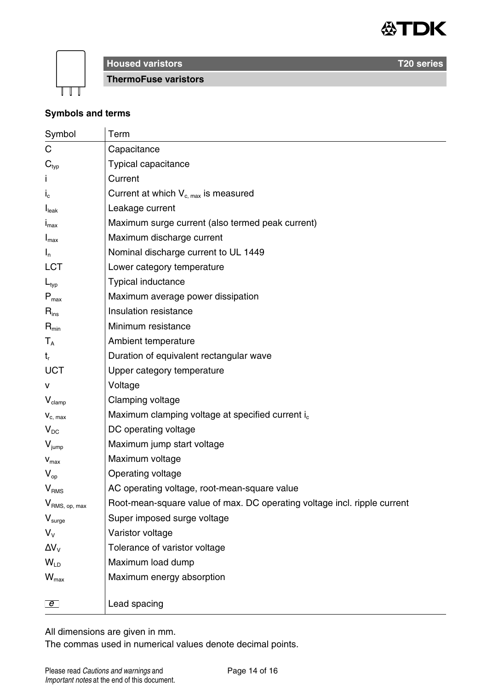



**ThermoFuse varistors**

## **Symbols and terms**

| Symbol                      | Term                                                                     |
|-----------------------------|--------------------------------------------------------------------------|
| С                           | Capacitance                                                              |
| $\mathbf{C}_{\text{typ}}$   | Typical capacitance                                                      |
|                             | Current                                                                  |
| $I_c$                       | Current at which $V_{c, max}$ is measured                                |
| I <sub>leak</sub>           | Leakage current                                                          |
| $I_{\text{max}}$            | Maximum surge current (also termed peak current)                         |
| $I_{\text{max}}$            | Maximum discharge current                                                |
| $I_n$                       | Nominal discharge current to UL 1449                                     |
| LCT                         | Lower category temperature                                               |
| $L_{typ}$                   | Typical inductance                                                       |
| $P_{\text{max}}$            | Maximum average power dissipation                                        |
| $\mathsf{R}_{\mathsf{ins}}$ | Insulation resistance                                                    |
| $R_{min}$                   | Minimum resistance                                                       |
| $T_A$                       | Ambient temperature                                                      |
| $t_{r}$                     | Duration of equivalent rectangular wave                                  |
| UCT                         | Upper category temperature                                               |
| v                           | Voltage                                                                  |
| $V_{\text{clamp}}$          | Clamping voltage                                                         |
| $V_{c. max}$                | Maximum clamping voltage at specified current i <sub>c</sub>             |
| $V_{DC}$                    | DC operating voltage                                                     |
| $V_{\text{jump}}$           | Maximum jump start voltage                                               |
| $V_{max}$                   | Maximum voltage                                                          |
| $V_{\rm on}$                | Operating voltage                                                        |
| V <sub>RMS</sub>            | AC operating voltage, root-mean-square value                             |
| V <sub>RMS, op, max</sub>   | Root-mean-square value of max. DC operating voltage incl. ripple current |
| $V_{\text{surge}}$          | Super imposed surge voltage                                              |
| $V_{V}$                     | Varistor voltage                                                         |
| $\Delta V_{V}$              | Tolerance of varistor voltage                                            |
| $W_{\text{LD}}$             | Maximum load dump                                                        |
| $W_{\text{max}}$            | Maximum energy absorption                                                |
|                             |                                                                          |
| $\overline{e}$              | Lead spacing                                                             |

All dimensions are given in mm.

The commas used in numerical values denote decimal points.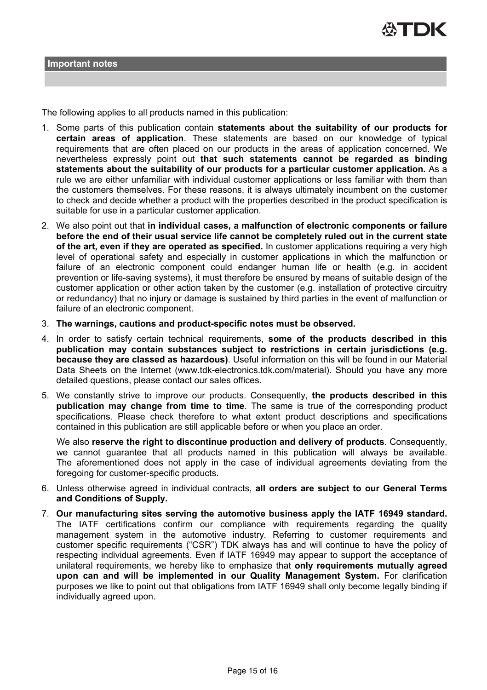

The following applies to all products named in this publication:

- 1. Some parts of this publication contain **statements about the suitability of our products for certain areas of application**. These statements are based on our knowledge of typical requirements that are often placed on our products in the areas of application concerned. We nevertheless expressly point out **that such statements cannot be regarded as binding statements about the suitability of our products for a particular customer application.** As a rule we are either unfamiliar with individual customer applications or less familiar with them than the customers themselves. For these reasons, it is always ultimately incumbent on the customer to check and decide whether a product with the properties described in the product specification is suitable for use in a particular customer application.
- 2. We also point out that **in individual cases, a malfunction of electronic components or failure before the end of their usual service life cannot be completely ruled out in the current state of the art, even if they are operated as specified.** In customer applications requiring a very high level of operational safety and especially in customer applications in which the malfunction or failure of an electronic component could endanger human life or health (e.g. in accident prevention or life-saving systems), it must therefore be ensured by means of suitable design of the customer application or other action taken by the customer (e.g. installation of protective circuitry or redundancy) that no injury or damage is sustained by third parties in the event of malfunction or failure of an electronic component.
- 3. **The warnings, cautions and product-specific notes must be observed.**
- 4. In order to satisfy certain technical requirements, **some of the products described in this publication may contain substances subject to restrictions in certain jurisdictions (e.g. because they are classed as hazardous)**. Useful information on this will be found in our Material Data Sheets on the Internet (www.tdk-electronics.tdk.com/material). Should you have any more detailed questions, please contact our sales offices.
- 5. We constantly strive to improve our products. Consequently, **the products described in this publication may change from time to time**. The same is true of the corresponding product specifications. Please check therefore to what extent product descriptions and specifications contained in this publication are still applicable before or when you place an order.

We also **reserve the right to discontinue production and delivery of products**. Consequently, we cannot guarantee that all products named in this publication will always be available. The aforementioned does not apply in the case of individual agreements deviating from the foregoing for customer-specific products.

- 6. Unless otherwise agreed in individual contracts, **all orders are subject to our General Terms and Conditions of Supply.**
- 7. **Our manufacturing sites serving the automotive business apply the IATF 16949 standard.** The IATF certifications confirm our compliance with requirements regarding the quality management system in the automotive industry. Referring to customer requirements and customer specific requirements ("CSR") TDK always has and will continue to have the policy of respecting individual agreements. Even if IATF 16949 may appear to support the acceptance of unilateral requirements, we hereby like to emphasize that **only requirements mutually agreed upon can and will be implemented in our Quality Management System.** For clarification purposes we like to point out that obligations from IATF 16949 shall only become legally binding if individually agreed upon.